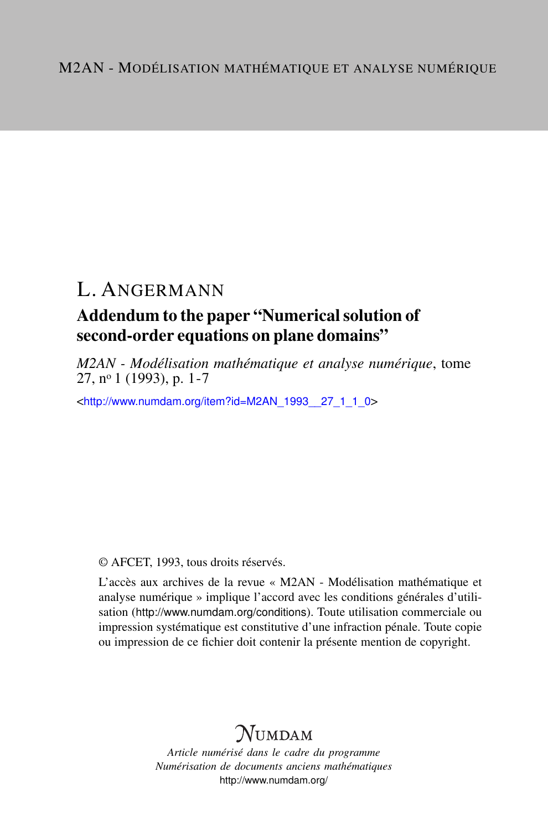## L. ANGERMANN

### Addendum to the paper "Numerical solution of second-order equations on plane domains"

*M2AN - Modélisation mathématique et analyse numérique*, tome  $27. n<sup>o</sup> 1 (1993), p. 1-7$ 

<[http://www.numdam.org/item?id=M2AN\\_1993\\_\\_27\\_1\\_1\\_0](http://www.numdam.org/item?id=M2AN_1993__27_1_1_0)>

© AFCET, 1993, tous droits réservés.

L'accès aux archives de la revue « M2AN - Modélisation mathématique et analyse numérique » implique l'accord avec les conditions générales d'utilisation (<http://www.numdam.org/conditions>). Toute utilisation commerciale ou impression systématique est constitutive d'une infraction pénale. Toute copie ou impression de ce fichier doit contenir la présente mention de copyright.

# **NUMDAM**

*Article numérisé dans le cadre du programme Numérisation de documents anciens mathématiques* <http://www.numdam.org/>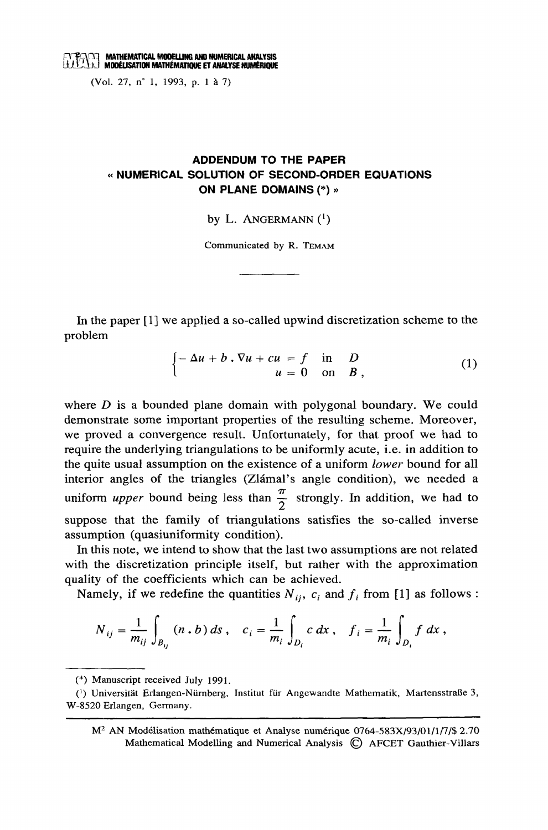(Vol. 27, n° 1, 1993, p. 1 à 7)

### **ADDENDUM TO THE PAPER** « NUMERICAL SOLUTION OF SECOND-ORDER EQUATIONS ON PLANE DOMAINS (\*) »

by L. ANGERMANN $(1)$ 

Communicated by R. TEMAM

In the paper [1] we applied a so-called upwind discretization scheme to the problem

$$
\begin{cases}\n-\Delta u + b \cdot \nabla u + cu = f & \text{in} \quad D \\
u = 0 & \text{on} \quad B\n\end{cases}
$$
\n(1)

where  $D$  is a bounded plane domain with polygonal boundary. We could demonstrate some important properties of the resulting scheme. Moreover, we proved a convergence result. Unfortunately, for that proof we had to require the underlying triangulations to be uniformly acute, *i.e.* in addition to the quite usual assumption on the existence of a uniform lower bound for all interior angles of the triangles (Zlámal's angle condition), we needed a uniform *upper* bound being less than  $\frac{\pi}{2}$  strongly. In addition, we had to suppose that the family of triangulations satisfies the so-called inverse assumption (quasiuniformity condition).

In this note, we intend to show that the last two assumptions are not related with the discretization principle itself, but rather with the approximation quality of the coefficients which can be achieved.

Namely, if we redefine the quantities  $N_{ij}$ ,  $c_i$  and  $f_i$  from [1] as follows :

$$
N_{ij} = \frac{1}{m_{ij}} \int_{B_{ij}} (n \cdot b) \, ds \,, \quad c_i = \frac{1}{m_i} \int_{D_i} c \, dx \,, \quad f_i = \frac{1}{m_i} \int_{D_i} f \, dx \,,
$$

 $M<sup>2</sup>$  AN Modélisation mathématique et Analyse numérique 0764-583X/93/01/1/7/\$ 2.70 Mathematical Modelling and Numerical Analysis C AFCET Gauthier-Villars

<sup>(\*)</sup> Manuscript received July 1991.

<sup>(1)</sup> Universität Erlangen-Nürnberg, Institut für Angewandte Mathematik, Martensstraße 3, W-8520 Erlangen, Germany.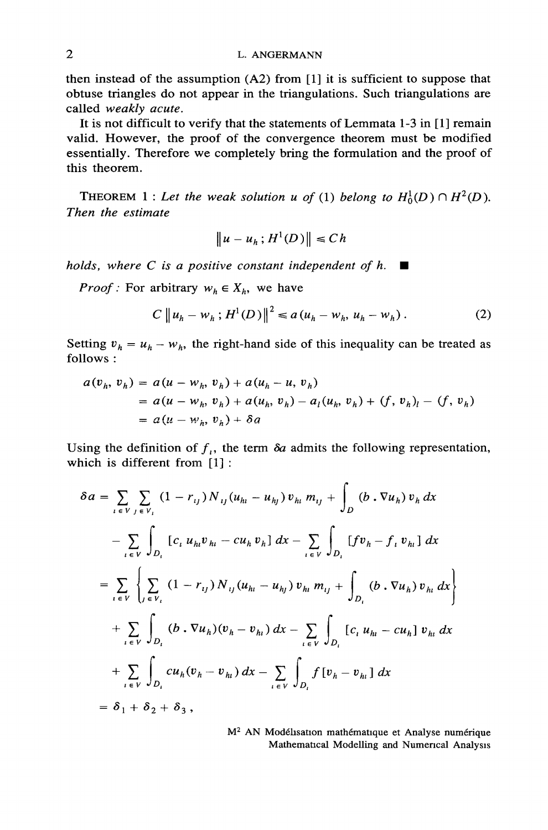#### L. ANGERMANN

then instead of the assumption  $(A2)$  from [1] it is sufficient to suppose that obtuse triangles do not appear in the triangulations. Such triangulations are called weakly acute.

It is not difficult to verify that the statements of Lemmata 1-3 in [1] remain valid. However, the proof of the convergence theorem must be modified essentially. Therefore we completely bring the formulation and the proof of this theorem.

THEOREM 1 : Let the weak solution u of (1) belong to  $H_0^1(D) \cap H^2(D)$ . Then the estimate

$$
\|u - u_h; H^1(D)\| \le Ch
$$

holds, where C is a positive constant independent of h.  $\blacksquare$ 

*Proof*: For arbitrary  $w_h \in X_h$ , we have

$$
C \|u_h - w_h; H^1(D)\|^2 \le a (u_h - w_h, u_h - w_h).
$$
 (2)

Setting  $v_h = u_h - w_h$ , the right-hand side of this inequality can be treated as follows:

$$
a(v_h, v_h) = a(u - w_h, v_h) + a(u_h - u, v_h)
$$
  
=  $a(u - w_h, v_h) + a(u_h, v_h) - a_l(u_h, v_h) + (f, v_h)_l - (f, v_h)$   
=  $a(u - w_h, v_h) + \delta a$ 

Using the definition of  $f_i$ , the term  $\delta a$  admits the following representation, which is different from  $[1]$ :

$$
\delta a = \sum_{i \in V} \sum_{j \in V_i} (1 - r_{ij}) N_{ij} (u_{hi} - u_{hj}) v_{hi} m_{ij} + \int_D (b \cdot \nabla u_h) v_h dx
$$
  
\n
$$
- \sum_{i \in V} \int_{D_i} [c_i u_{hi} v_{hi} - c u_h v_h] dx - \sum_{i \in V} \int_{D_i} [f v_h - f_i v_{hi}] dx
$$
  
\n
$$
= \sum_{i \in V} \left\{ \sum_{j \in V_i} (1 - r_{ij}) N_{ij} (u_{hi} - u_{hj}) v_{hi} m_{ij} + \int_{D_i} (b \cdot \nabla u_h) v_{hi} dx \right\}
$$
  
\n
$$
+ \sum_{i \in V} \int_{D_i} (b \cdot \nabla u_h) (v_h - v_{hi}) dx - \sum_{i \in V} \int_{D_i} [c_i u_{hi} - c u_h] v_{hi} dx
$$
  
\n
$$
+ \sum_{i \in V} \int_{D_i} c u_h (v_h - v_{hi}) dx - \sum_{i \in V} \int_{D_i} f [v_h - v_{hi}] dx
$$
  
\n
$$
= \delta_1 + \delta_2 + \delta_3,
$$

M<sup>2</sup> AN Modélisation mathématique et Analyse numérique Mathematical Modelling and Numerical Analysis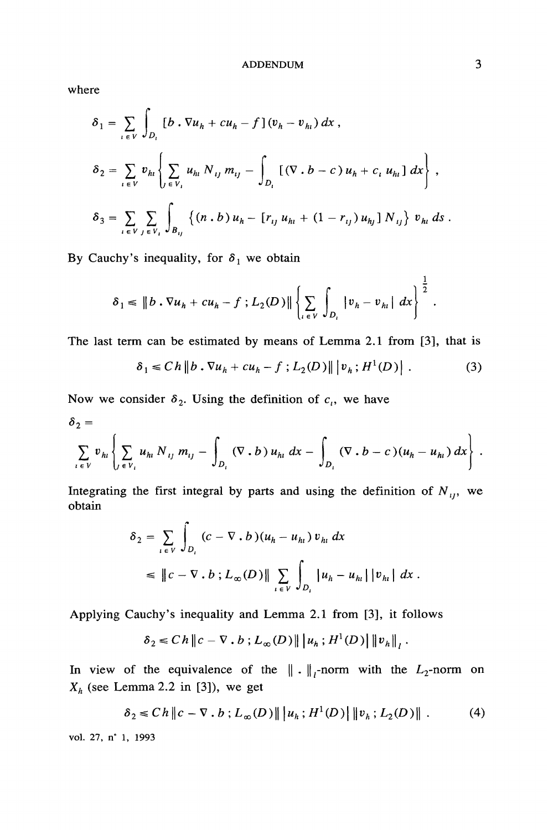#### **ADDENDUM**

where

$$
\delta_{1} = \sum_{i \in V} \int_{D_{i}} \left[ b \cdot \nabla u_{h} + cu_{h} - f \right] (v_{h} - v_{h_{i}}) dx ,
$$
\n
$$
\delta_{2} = \sum_{i \in V} v_{h_{i}} \left\{ \sum_{j \in V_{i}} u_{h_{i}} N_{ij} m_{ij} - \int_{D_{i}} \left[ (\nabla \cdot b - c) u_{h} + c_{i} u_{h_{i}} \right] dx \right\} ,
$$
\n
$$
\delta_{3} = \sum_{i \in V} \sum_{j \in V_{i}} \int_{B_{ij}} \left\{ (n \cdot b) u_{h} - \left[ r_{ij} u_{h_{i}} + (1 - r_{ij}) u_{h_{j}} \right] N_{ij} \right\} v_{h_{i}} ds
$$

By Cauchy's inequality, for  $\delta_1$  we obtain

$$
\delta_1 \leq \|b \cdot \nabla u_h + c u_h - f \, ; L_2(D)\| \left\{ \sum_{i \in V} \int_{D_i} |v_h - v_{hi}| \, dx \right\}^{\frac{1}{2}}.
$$

The last term can be estimated by means of Lemma 2.1 from [3], that is

$$
\delta_1 \le C h \| b \cdot \nabla u_h + c u_h - f \, ; L_2(D) \| \, |v_h; H^1(D) | \, . \tag{3}
$$

Now we consider  $\delta_2$ . Using the definition of  $c_i$ , we have

$$
\delta_2 = \sum_{i \in V} v_{h_i} \left\{ \sum_{j \in V_i} u_{h_i} N_{ij} m_{ij} - \int_{D_i} (\nabla \cdot b) u_{h_i} dx - \int_{D_i} (\nabla \cdot b - c) (u_h - u_{h_i}) dx \right\}.
$$

Integrating the first integral by parts and using the definition of  $N_{ij}$ , we obtain

$$
\delta_2 = \sum_{i \in V} \int_{D_i} (c - \nabla \cdot b)(u_h - u_{hi}) v_{hi} dx
$$
  
\n
$$
\leq ||c - \nabla \cdot b |_{L_{\infty}(D)||} \sum_{i \in V} \int_{D_i} |u_h - u_{hi}| |v_{hi}| dx.
$$

Applying Cauchy's inequality and Lemma 2.1 from [3], it follows

$$
\delta_2 \leq C h \left\| c - \nabla \cdot b ; L_{\infty}(D) \right\| \left| u_h ; H^1(D) \right| \left\| v_h \right\|_{l}.
$$

In view of the equivalence of the  $\|\cdot\|_1$ -norm with the  $L_2$ -norm on  $X_h$  (see Lemma 2.2 in [3]), we get

$$
\delta_2 \le C h \| c - \nabla \cdot b ; L_{\infty}(D) \| |u_h; H^1(D)| \| v_h; L_2(D) \| .
$$
 (4)

vol. 27, n° 1, 1993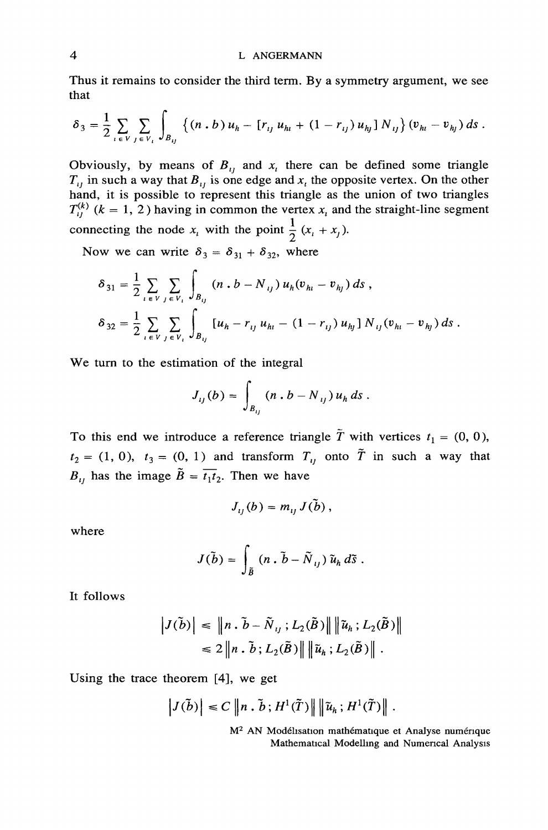Thus it remains to consider the third term. By a symmetry argument, we see that

$$
\delta_3 = \frac{1}{2} \sum_{i \in V} \sum_{j \in V_i} \int_{B_{ij}} \left\{ (n \cdot b) u_h - [r_{ij} u_{hi} + (1 - r_{ij}) u_{hj}] N_{ij} \right\} (v_{hi} - v_{hj}) ds.
$$

Obviously, by means of  $B_{ij}$  and  $x_i$  there can be defined some triangle  $T_{ij}$  in such a way that  $B_{ij}$  is one edge and  $x_i$  the opposite vertex. On the other hand, it is possible to represent this triangle as the unio  $T_{ii}^{(k)}$  (k = 1, 2) having in common the vertex  $x_i$  and the straight-line segment connecting the node  $x_i$  with the point  $\frac{1}{2}(x_i + x_j)$ .

Now we can write  $\delta_3 = \delta_{31} + \delta_{32}$ , where

$$
\delta_{31} = \frac{1}{2} \sum_{i \in V} \sum_{j \in V_i} \int_{B_{ij}} (n \cdot b - N_{ij}) u_h (v_{hi} - v_{hj}) ds ,
$$
  

$$
\delta_{32} = \frac{1}{2} \sum_{i \in V} \sum_{j \in V_i} \int_{B_{ij}} [u_h - r_{ij} u_{hi} - (1 - r_{ij}) u_{hj}] N_{ij} (v_{hi} - v_{hj}) ds .
$$

We turn to the estimation of the integral

$$
J_{ij}(b) = \int_{B_{ij}} (n \cdot b - N_{ij}) u_h ds.
$$

To this end we introduce a reference triangle  $\tilde{T}$  with vertices  $t_1 = (0, 0)$ ,  $t_2 = (1, 0)$ ,  $t_3 = (0, 1)$  and transform  $T_{ij}$  onto  $\tilde{T}$  in such a way that  $B_{11}$  has the image  $\tilde{B} = \overline{t_1 t_2}$ . Then we have

$$
J_{ii}(b) = m_{ii} J(\tilde{b}),
$$

where

$$
J(\tilde{b})=\int_{\tilde{B}}\left(n\cdot\tilde{b}-\tilde{N}_{ij}\right)\tilde{u}_h\,d\tilde{s}.
$$

It follows

$$
\left| J(\tilde{b}) \right| \leq \left\| n \cdot \tilde{b} - \tilde{N}_{ij} ; L_2(\tilde{B}) \right\| \left\| \tilde{u}_h ; L_2(\tilde{B}) \right\|
$$
  

$$
\leq 2 \left\| n \cdot \tilde{b} ; L_2(\tilde{B}) \right\| \left\| \tilde{u}_h ; L_2(\tilde{B}) \right\|.
$$

Using the trace theorem [4], we get

$$
|J(\tilde{b})| \leq C ||n \cdot \tilde{b}; H^{1}(\tilde{T})|| ||\tilde{u}_{h}; H^{1}(\tilde{T})||.
$$

M<sup>2</sup> AN Modélisation mathématique et Analyse numérique Mathematical Modelling and Numerical Analysis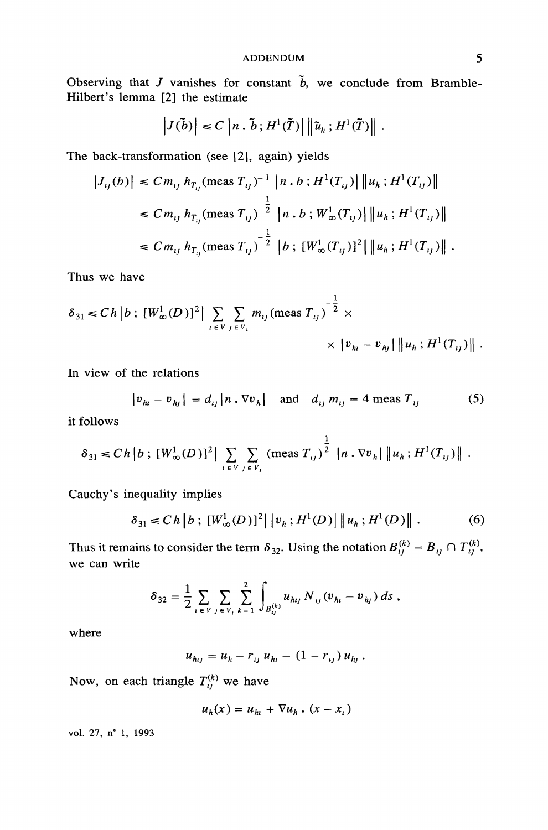Observing that J vanishes for constant  $\tilde{b}$ , we conclude from Bramble-Hilbert's lemma [2] the estimate

$$
|J(\tilde{b})| \leq C |n \cdot \tilde{b}; H^{1}(\tilde{T})| \|\tilde{u}_{h}; H^{1}(\tilde{T})\|.
$$

The back-transformation (see [2], again) yields

$$
|J_{ij}(b)| \le C m_{ij} h_{T_{ij}} (\text{meas } T_{ij})^{-1} |n \cdot b ; H^{1}(T_{ij})| \|u_{h} ; H^{1}(T_{ij})\|
$$
  
\n
$$
\le C m_{ij} h_{T_{ij}} (\text{meas } T_{ij})^{-\frac{1}{2}} |n \cdot b ; W_{\infty}^{1}(T_{ij})| \|u_{h} ; H^{1}(T_{ij})\|
$$
  
\n
$$
\le C m_{ij} h_{T_{ij}} (\text{meas } T_{ij})^{-\frac{1}{2}} |b ; [W_{\infty}^{1}(T_{ij})]^{2} | \|u_{h} ; H^{1}(T_{ij})\|.
$$

Thus we have

$$
\delta_{31} \le C h |b; [W_{\infty}^1(D)]^2 \Big| \sum_{i \in V} \sum_{j \in V_i} m_{ij} (\text{meas } T_{ij})^{-\frac{1}{2}} \times \\ \times |v_{h_i} - v_{h_j}| \|u_h; H^1(T_{ij})\|.
$$

In view of the relations

$$
|v_{h_l} - v_{h_l}| = d_{ij} |n \cdot \nabla v_h|
$$
 and  $d_{ij} m_{ij} = 4$  meas  $T_{ij}$  (5)

it follows

$$
\delta_{31} \le C h |b ; [W^1_{\infty}(D)]^2 \Big| \sum_{i \in V} \sum_{j \in V_i} (\text{meas } T_{ij})^{\frac{1}{2}} |n . \nabla v_h| \|u_h ; H^1(T_{ij})\|.
$$

Cauchy's inequality implies

$$
\delta_{31} \le C h |b ; [W^1_{\infty}(D)]^2 | |v_h ; H^1(D)| ||u_h ; H^1(D)||.
$$
 (6)

Thus it remains to consider the term  $\delta_{32}$ . Using the notation  $B_{ij}^{(k)} = B_{ij} \cap T_{ij}^{(k)}$ , we can write

$$
\delta_{32} = \frac{1}{2} \sum_{i \in V} \sum_{j \in V_i} \sum_{k=1}^{2} \int_{B_{ij}^{(k)}} u_{hij} N_{ij} (v_{hi} - v_{hj}) ds ,
$$

where

$$
u_{hij} = u_h - r_{ij} u_{hi} - (1 - r_{ij}) u_{hj}.
$$

Now, on each triangle  $T_{ij}^{(k)}$  we have

$$
u_h(x) = u_h + \nabla u_h \cdot (x - x_i)
$$

vol. 27, n° 1, 1993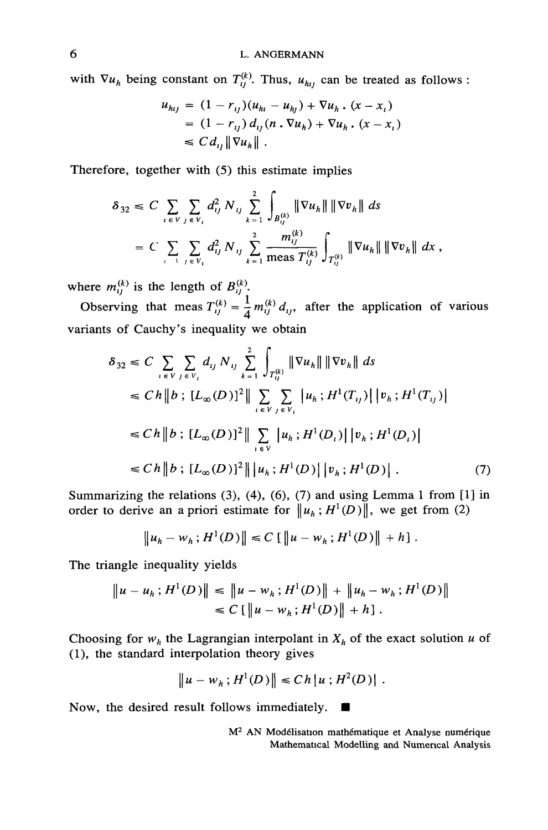with  $\nabla u_h$  being constant on  $T_{ij}^{(k)}$ . Thus,  $u_{hi}$  can be treated as follows:

$$
u_{hij} = (1 - r_{ij})(u_{hi} - u_{hj}) + \nabla u_h \cdot (x - x_i)
$$
  
= (1 - r\_{ij}) d\_{ij}(n \cdot \nabla u\_h) + \nabla u\_h \cdot (x - x\_i)  

$$
\leq C d_{ij} \| \nabla u_h \|.
$$

Therefore, together with (5) this estimate implies

$$
\delta_{32} \leq C \sum_{i \in V} \sum_{j \in V_i} d_{ij}^2 N_{ij} \sum_{k=1}^2 \int_{B_{ij}^{(k)}} \|\nabla u_h\| \|\nabla v_h\| ds
$$
  
=  $C \sum_{i \in V_i} \sum_{j \in V_i} d_{ij}^2 N_{ij} \sum_{k=1}^2 \frac{m_{ij}^{(k)}}{\text{meas } T_{ij}^{(k)}} \int_{T_{ij}^{(k)}} \|\nabla u_h\| \|\nabla v_h\| dx$ ,

where  $m_{ij}^{(k)}$  is the length of  $B_{ij}^{(k)}$ .<br>Observing that meas  $T_{ij}^{(k)} = \frac{1}{4} m_{ij}^{(k)} d_{ij}$ , after the application of various variants of Cauchy's inequality we obtain

$$
\delta_{32} \leq C \sum_{i \in V} \sum_{j \in V_i} d_{ij} N_{ij} \sum_{k=1}^{2} \int_{T_{ij}^{(k)}} \|\nabla u_h\| \|\nabla v_h\| ds
$$
  
\n
$$
\leq C h \|b ; [L_{\infty}(D)]^2 \| \sum_{i \in V} \sum_{j \in V_i} |u_h; H^1(T_{ij})| |v_h; H^1(T_{ij})|
$$
  
\n
$$
\leq C h \|b ; [L_{\infty}(D)]^2 \| \sum_{i \in V} |u_h; H^1(D_i)| |v_h; H^1(D_i)|
$$
  
\n
$$
\leq C h \|b ; [L_{\infty}(D)]^2 \| |u_h; H^1(D)| |v_h; H^1(D)|. \tag{7}
$$

Summarizing the relations  $(3)$ ,  $(4)$ ,  $(6)$ ,  $(7)$  and using Lemma 1 from  $[1]$  in order to derive an a priori estimate for  $\|u_h: H^1(D)\|$ , we get from (2)

$$
\|u_h - w_h\,; H^1(D)\| \leq C \left[ \|u - w_h\,; H^1(D)\| + h \right].
$$

The triangle inequality yields

$$
\|u - u_h; H^1(D)\| \le \|u - w_h; H^1(D)\| + \|u_h - w_h; H^1(D)\|
$$
  

$$
\le C \left[ \|u - w_h; H^1(D)\| + h \right].
$$

Choosing for  $w_h$  the Lagrangian interpolant in  $X_h$  of the exact solution u of (1), the standard interpolation theory gives

$$
||u - w_h; H^1(D)|| \le Ch |u; H^2(D)|.
$$

Now, the desired result follows immediately.

M<sup>2</sup> AN Modélisation mathématique et Analyse numérique Mathematical Modelling and Numerical Analysis